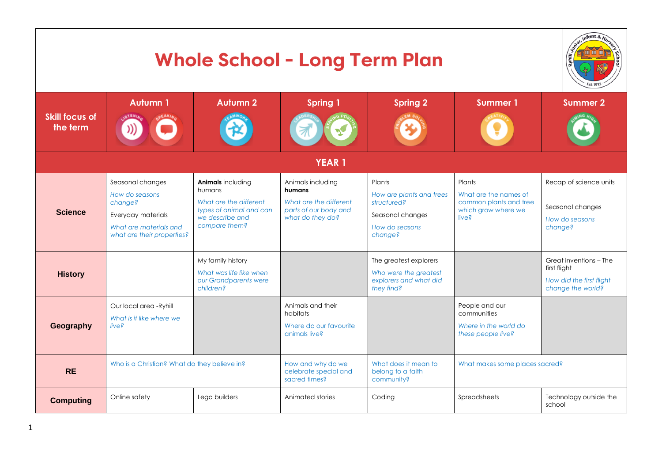| <b>Whole School - Long Term Plan</b> |                                                                                                                             |                                                                                                                      |                                                                                                    |                                                                                                    |                                                                                           |                                                                                         |  |  |
|--------------------------------------|-----------------------------------------------------------------------------------------------------------------------------|----------------------------------------------------------------------------------------------------------------------|----------------------------------------------------------------------------------------------------|----------------------------------------------------------------------------------------------------|-------------------------------------------------------------------------------------------|-----------------------------------------------------------------------------------------|--|--|
| <b>Skill focus of</b><br>the term    | <b>Autumn 1</b>                                                                                                             | <b>Autumn 2</b>                                                                                                      | <b>Spring 1</b>                                                                                    | <b>Spring 2</b>                                                                                    | <b>Summer 1</b>                                                                           | <b>Summer 2</b>                                                                         |  |  |
| <b>YEAR1</b>                         |                                                                                                                             |                                                                                                                      |                                                                                                    |                                                                                                    |                                                                                           |                                                                                         |  |  |
| <b>Science</b>                       | Seasonal changes<br>How do seasons<br>change?<br>Everyday materials<br>What are materials and<br>what are their properties? | Animals including<br>humans<br>What are the different<br>types of animal and can<br>we describe and<br>compare them? | Animals including<br>humans<br>What are the different<br>parts of our body and<br>what do they do? | Plants<br>How are plants and trees<br>structured?<br>Seasonal changes<br>How do seasons<br>change? | Plants<br>What are the names of<br>common plants and tree<br>which grow where we<br>live? | Recap of science units<br>Seasonal changes<br>How do seasons<br>change?                 |  |  |
| <b>History</b>                       |                                                                                                                             | My family history<br>What was life like when<br>our Grandparents were<br>children?                                   |                                                                                                    | The greatest explorers<br>Who were the greatest<br>explorers and what did<br>they find?            |                                                                                           | Great inventions - The<br>first flight<br>How did the first flight<br>change the world? |  |  |
| Geography                            | Our local area -Ryhill<br>What is it like where we<br>live?                                                                 |                                                                                                                      | Animals and their<br>habitats<br>Where do our favourite<br>animals live?                           |                                                                                                    | People and our<br>communities<br>Where in the world do<br>these people live?              |                                                                                         |  |  |
| <b>RE</b>                            | Who is a Christian? What do they believe in?                                                                                |                                                                                                                      | How and why do we<br>celebrate special and<br>sacred times?                                        | What does it mean to<br>belong to a faith<br>community?                                            | What makes some places sacred?                                                            |                                                                                         |  |  |
| <b>Computing</b>                     | Online safety                                                                                                               | Lego builders                                                                                                        | Animated stories                                                                                   | Coding                                                                                             | Spreadsheets                                                                              | Technology outside the<br>school                                                        |  |  |

1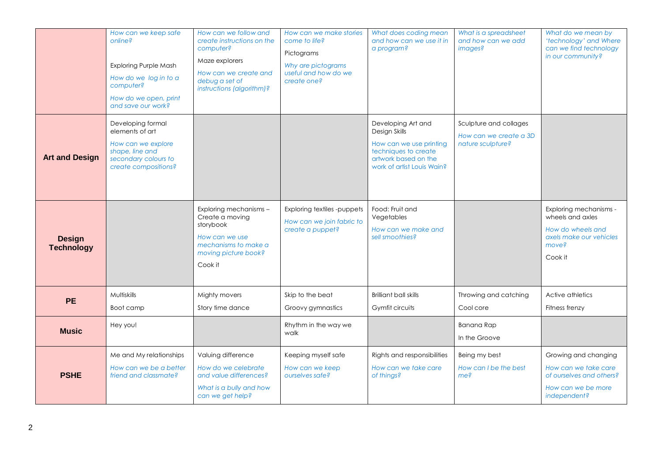|                                    | How can we keep safe<br>online?<br><b>Exploring Purple Mash</b><br>How do we log in to a<br>computer?<br>How do we open, print<br>and save our work? | How can we follow and<br>create instructions on the<br>computer?<br>Maze explorers<br>How can we create and<br>debug a set of<br>instructions (algorithm)? | How can we make stories<br>come to life?<br>Pictograms<br>Why are pictograms<br>useful and how do we<br>create one? | What does coding mean<br>and how can we use it in<br>a program?                                                                              | What is a spreadsheet<br>and how can we add<br>images?                | What do we mean by<br>'technology' and Where<br>can we find technology<br>in our community?                    |
|------------------------------------|------------------------------------------------------------------------------------------------------------------------------------------------------|------------------------------------------------------------------------------------------------------------------------------------------------------------|---------------------------------------------------------------------------------------------------------------------|----------------------------------------------------------------------------------------------------------------------------------------------|-----------------------------------------------------------------------|----------------------------------------------------------------------------------------------------------------|
| <b>Art and Design</b>              | Developing formal<br>elements of art<br>How can we explore<br>shape, line and<br>secondary colours to<br>create compositions?                        |                                                                                                                                                            |                                                                                                                     | Developing Art and<br>Design Skills<br>How can we use printing<br>techniques to create<br>artwork based on the<br>work of artist Louis Wain? | Sculpture and collages<br>How can we create a 3D<br>nature sculpture? |                                                                                                                |
| <b>Design</b><br><b>Technology</b> |                                                                                                                                                      | Exploring mechanisms -<br>Create a moving<br>storybook<br>How can we use<br>mechanisms to make a<br>moving picture book?<br>Cook it                        | Exploring textiles -puppets<br>How can we join fabric to<br>create a puppet?                                        | Food: Fruit and<br>Vegetables<br>How can we make and<br>sell smoothies?                                                                      |                                                                       | Exploring mechanisms -<br>wheels and axles<br>How do wheels and<br>axels make our vehicles<br>move?<br>Cook it |
| <b>PE</b>                          | Multiskills<br>Boot camp                                                                                                                             | Mighty movers<br>Story time dance                                                                                                                          | Skip to the beat<br>Groovy gymnastics                                                                               | Brilliant ball skills<br>Gymfit circuits                                                                                                     | Throwing and catching<br>Cool core                                    | Active athletics<br>Fitness frenzy                                                                             |
| <b>Music</b>                       | Hey you!                                                                                                                                             |                                                                                                                                                            | Rhythm in the way we<br>walk                                                                                        |                                                                                                                                              | Banana Rap<br>In the Groove                                           |                                                                                                                |
| <b>PSHE</b>                        | Me and My relationships<br>How can we be a better<br>friend and classmate?                                                                           | Valuing difference<br>How do we celebrate<br>and value differences?<br>What is a bully and how<br>can we get help?                                         | Keeping myself safe<br>How can we keep<br>ourselves safe?                                                           | Rights and responsibilities<br>How can we take care<br>of things?                                                                            | Being my best<br>How can I be the best<br>me?                         | Growing and changing<br>How can we take care<br>of ourselves and others?<br>How can we be more<br>independent? |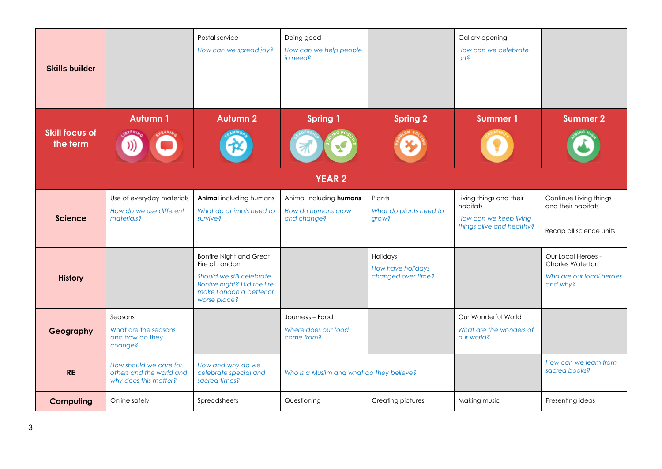| <b>Skills builder</b>             |                                                                             | Postal service<br>How can we spread joy?                                                                                                                | Doing good<br>How can we help people<br>in need?             |                                                     | Gallery opening<br>How can we celebrate<br>$\alpha$                                        |                                                                                       |  |  |  |
|-----------------------------------|-----------------------------------------------------------------------------|---------------------------------------------------------------------------------------------------------------------------------------------------------|--------------------------------------------------------------|-----------------------------------------------------|--------------------------------------------------------------------------------------------|---------------------------------------------------------------------------------------|--|--|--|
| <b>Skill focus of</b><br>the term | <b>Autumn 1</b>                                                             | <b>Autumn 2</b>                                                                                                                                         | <b>Spring 1</b>                                              | <b>Spring 2</b>                                     | <b>Summer 1</b>                                                                            | <b>Summer 2</b>                                                                       |  |  |  |
| <b>YEAR 2</b>                     |                                                                             |                                                                                                                                                         |                                                              |                                                     |                                                                                            |                                                                                       |  |  |  |
| <b>Science</b>                    | Use of everyday materials<br>How do we use different<br>materials?          | Animal including humans<br>What do animals need to<br>survive?                                                                                          | Animal including humans<br>How do humans grow<br>and change? | Plants<br>What do plants need to<br>grow?           | Living things and their<br>habitats<br>How can we keep living<br>things alive and healthy? | Continue Living things<br>and their habitats<br>Recap all science units               |  |  |  |
| <b>History</b>                    |                                                                             | <b>Bonfire Night and Great</b><br>Fire of London<br>Should we still celebrate<br>Bonfire night? Did the fire<br>make London a better or<br>worse place? |                                                              | Holidays<br>How have holidays<br>changed over time? |                                                                                            | Our Local Heroes -<br><b>Charles Waterton</b><br>Who are our local heroes<br>and why? |  |  |  |
| Geography                         | Seasons<br>What are the seasons<br>and how do they<br>change?               |                                                                                                                                                         | Journeys - Food<br>Where does our food<br>come from?         |                                                     | Our Wonderful World<br>What are the wonders of<br>our world?                               |                                                                                       |  |  |  |
| <b>RE</b>                         | How should we care for<br>others and the world and<br>why does this matter? | How and why do we<br>celebrate special and<br>sacred times?                                                                                             | Who is a Muslim and what do they believe?                    |                                                     |                                                                                            | How can we learn from<br>sacred books?                                                |  |  |  |
| Computing                         | Online safely                                                               | Spreadsheets                                                                                                                                            | Questioning                                                  | Creating pictures                                   | Making music                                                                               | Presenting ideas                                                                      |  |  |  |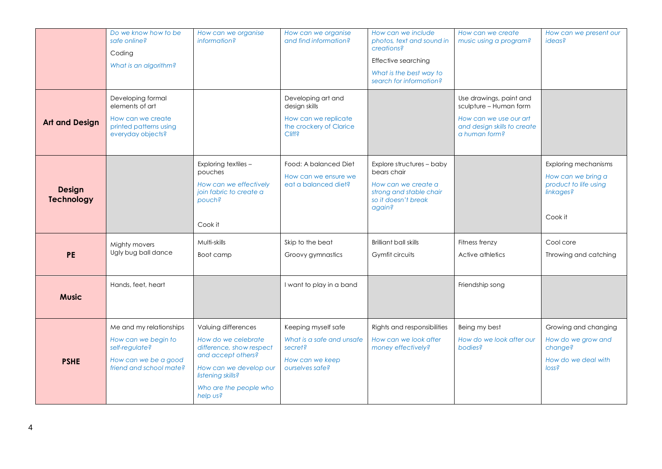|                                    | Do we know how to be<br>safe online?<br>Coding<br>What is an algorithm?<br>Developing formal                        | How can we organise<br>information?                                                                                                                                               | How can we organise<br>and find information?<br>Developing art and                                | How can we include<br>photos, text and sound in<br>creations?<br>Effective searching<br>What is the best way to<br>search for information? | How can we create<br>music using a program?<br>Use drawings, paint and                           | How can we present our<br><i>ideas?</i>                                                            |
|------------------------------------|---------------------------------------------------------------------------------------------------------------------|-----------------------------------------------------------------------------------------------------------------------------------------------------------------------------------|---------------------------------------------------------------------------------------------------|--------------------------------------------------------------------------------------------------------------------------------------------|--------------------------------------------------------------------------------------------------|----------------------------------------------------------------------------------------------------|
| <b>Art and Design</b>              | elements of art<br>How can we create<br>printed patterns using<br>everyday objects?                                 |                                                                                                                                                                                   | design skills<br>How can we replicate<br>the crockery of Clarice<br><b>Cliff?</b>                 |                                                                                                                                            | sculpture - Human form<br>How can we use our art<br>and design skills to create<br>a human form? |                                                                                                    |
| <b>Design</b><br><b>Technology</b> |                                                                                                                     | Exploring textiles -<br>pouches<br>How can we effectively<br>join fabric to create a<br>pouch?<br>Cook it                                                                         | Food: A balanced Diet<br>How can we ensure we<br>eat a balanced diet?                             | Explore structures - baby<br>bears chair<br>How can we create a<br>strong and stable chair<br>so it doesn't break<br>again?                |                                                                                                  | <b>Exploring mechanisms</b><br>How can we bring a<br>product to life using<br>linkages?<br>Cook it |
| <b>PE</b>                          | Mighty movers<br>Ugly bug ball dance                                                                                | Multi-skills<br>Boot camp                                                                                                                                                         | Skip to the beat<br>Groovy gymnastics                                                             | <b>Brilliant ball skills</b><br>Gymfit circuits                                                                                            | Fitness frenzy<br>Active athletics                                                               | Cool core<br>Throwing and catching                                                                 |
| <b>Music</b>                       | Hands, feet, heart                                                                                                  |                                                                                                                                                                                   | I want to play in a band                                                                          |                                                                                                                                            | Friendship song                                                                                  |                                                                                                    |
| <b>PSHE</b>                        | Me and my relationships<br>How can we begin to<br>self-regulate?<br>How can we be a good<br>friend and school mate? | Valuing differences<br>How do we celebrate<br>difference, show respect<br>and accept others?<br>How can we develop our<br>listening skills?<br>Who are the people who<br>help us? | Keeping myself safe<br>What is a safe and unsafe<br>secret?<br>How can we keep<br>ourselves safe? | Rights and responsibilities<br>How can we look after<br>money effectively?                                                                 | Being my best<br>How do we look after our<br>bodies?                                             | Growing and changing<br>How do we grow and<br>change?<br>How do we deal with<br>loss <sub>5</sub>  |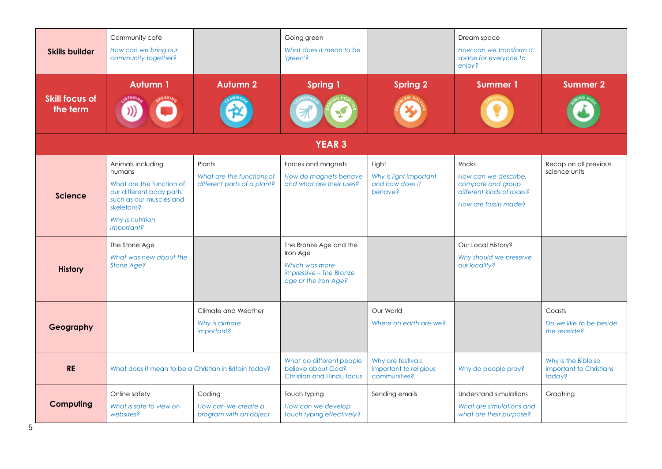| <b>Skills builder</b>             | Community café<br>How can we bring our<br>community together?                                                                                                  |                                                                    | Going green<br>What does it mean to be<br>'green'?                                                      |                                                               | Dream space<br>How can we transform a<br>space for everyone to<br>enjoy?                                 |                                                          |
|-----------------------------------|----------------------------------------------------------------------------------------------------------------------------------------------------------------|--------------------------------------------------------------------|---------------------------------------------------------------------------------------------------------|---------------------------------------------------------------|----------------------------------------------------------------------------------------------------------|----------------------------------------------------------|
| <b>Skill focus of</b><br>the term | <b>Autumn1</b>                                                                                                                                                 | <b>Autumn 2</b>                                                    | <b>Spring 1</b>                                                                                         | <b>Spring 2</b>                                               | <b>Summer 1</b>                                                                                          | <b>Summer 2</b>                                          |
|                                   |                                                                                                                                                                |                                                                    | <b>YEAR 3</b>                                                                                           |                                                               |                                                                                                          |                                                          |
| <b>Science</b>                    | Animals including<br>humans<br>What are the function of<br>our different body parts<br>such as our muscles and<br>skeletons?<br>Why is nutrition<br>important? | Plants<br>What are the functions of<br>different parts of a plant? | Forces and magnets<br>How do magnets behave<br>and what are their uses?                                 | Light<br>Why is light important<br>and how does it<br>behave? | Rocks<br>How can we describe.<br>compare and group<br>different kinds of rocks?<br>How are fossils made? | Recap on all previous<br>science units                   |
| <b>History</b>                    | The Stone Age<br>What was new about the<br>Stone Age?                                                                                                          |                                                                    | The Bronze Age and the<br>Iron Age<br>Which was more<br>impressive - The Bronze<br>age or the Iron Age? |                                                               | Our Local History?<br>Why should we preserve<br>our locality?                                            |                                                          |
| Geography                         |                                                                                                                                                                | Climate and Weather<br>Why is climate<br>important?                |                                                                                                         | Our World<br>Where on earth are we?                           |                                                                                                          | Coasts<br>Do we like to be beside<br>the seaside?        |
| <b>RE</b>                         | What does it mean to be a Christian in Britain today?                                                                                                          |                                                                    | What do different people<br>believe about God?<br>Christian and Hindu focus                             | Why are festivals<br>important to religious<br>communities?   | Why do people pray?                                                                                      | Why is the Bible so<br>important to Christians<br>today? |
| Computing                         | Online safety<br>What is safe to view on<br>websites?                                                                                                          | Coding<br>How can we create a<br>program with an object            | Touch typing<br>How can we develop<br>touch typing effectively?                                         | Sending emails                                                | Understand simulations<br>What are simulations and<br>what are their purpose?                            | Graphing                                                 |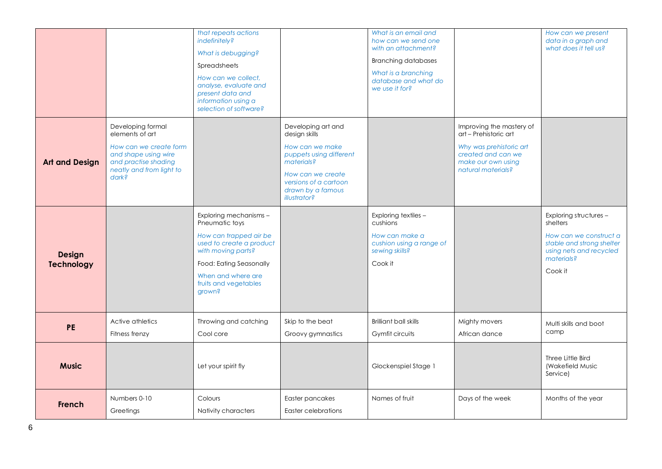|                                    |                                                                                                                                                     | that repeats actions<br>indefinitely?<br>What is debugging?<br>Spreadsheets<br>How can we collect,<br>analyse, evaluate and<br>present data and<br>information using a<br>selection of software?         |                                                                                                                                                                                           | What is an email and<br>how can we send one<br>with an attachment?<br><b>Branching databases</b><br>What is a branching<br>database and what do<br>we use it for? |                                                                                                                                                | How can we present<br>data in a graph and<br>what does it tell us?                                                                            |
|------------------------------------|-----------------------------------------------------------------------------------------------------------------------------------------------------|----------------------------------------------------------------------------------------------------------------------------------------------------------------------------------------------------------|-------------------------------------------------------------------------------------------------------------------------------------------------------------------------------------------|-------------------------------------------------------------------------------------------------------------------------------------------------------------------|------------------------------------------------------------------------------------------------------------------------------------------------|-----------------------------------------------------------------------------------------------------------------------------------------------|
| <b>Art and Design</b>              | Developing formal<br>elements of art<br>How can we create form<br>and shape using wire<br>and practise shading<br>neatly and from light to<br>dark? |                                                                                                                                                                                                          | Developing art and<br>design skills<br>How can we make<br>puppets using different<br>materials?<br>How can we create<br>versions of a cartoon<br>drawn by a famous<br><i>illustrator?</i> |                                                                                                                                                                   | Improving the mastery of<br>art - Prehistoric art<br>Why was prehistoric art<br>created and can we<br>make our own using<br>natural materials? |                                                                                                                                               |
| <b>Design</b><br><b>Technology</b> |                                                                                                                                                     | Exploring mechanisms -<br>Pneumatic toys<br>How can trapped air be<br>used to create a product<br>with moving parts?<br>Food: Eating Seasonally<br>When and where are<br>fruits and vegetables<br>grown? |                                                                                                                                                                                           | Exploring textiles -<br>cushions<br>How can make a<br>cushion using a range of<br>sewing skills?<br>Cook it                                                       |                                                                                                                                                | Exploring structures -<br>shelters<br>How can we construct a<br>stable and strong shelter<br>using nets and recycled<br>materials?<br>Cook it |
| <b>PE</b>                          | Active athletics<br>Fitness frenzy                                                                                                                  | Throwing and catching<br>Cool core                                                                                                                                                                       | Skip to the beat<br>Groovy gymnastics                                                                                                                                                     | <b>Brilliant ball skills</b><br>Gymfit circuits                                                                                                                   | Mighty movers<br>African dance                                                                                                                 | Multi skills and boot<br>camp                                                                                                                 |
| <b>Music</b>                       |                                                                                                                                                     | Let your spirit fly                                                                                                                                                                                      |                                                                                                                                                                                           | Glockenspiel Stage 1                                                                                                                                              |                                                                                                                                                | Three Little Bird<br>(Wakefield Music<br>Service)                                                                                             |
| French                             | Numbers 0-10<br>Greetings                                                                                                                           | Colours<br>Nativity characters                                                                                                                                                                           | Easter pancakes<br>Easter celebrations                                                                                                                                                    | Names of fruit                                                                                                                                                    | Days of the week                                                                                                                               | Months of the year                                                                                                                            |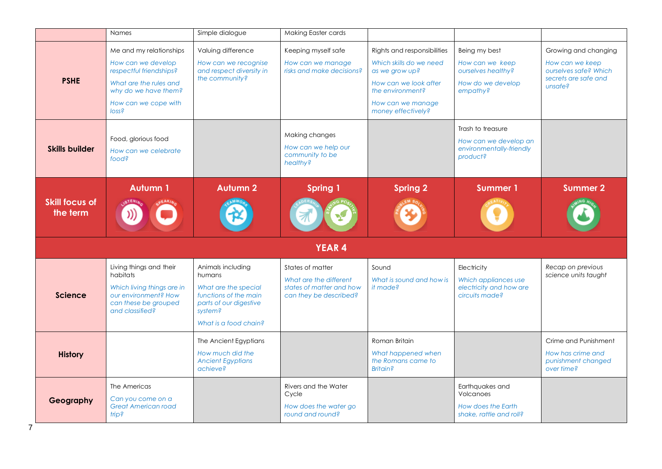|                                   | <b>Names</b>                                                                                                                                                            | Simple dialogue                                                                                                                            | Making Easter cards                                                                              |                                                                                                                                                                  |                                                                                         |                                                                                                     |
|-----------------------------------|-------------------------------------------------------------------------------------------------------------------------------------------------------------------------|--------------------------------------------------------------------------------------------------------------------------------------------|--------------------------------------------------------------------------------------------------|------------------------------------------------------------------------------------------------------------------------------------------------------------------|-----------------------------------------------------------------------------------------|-----------------------------------------------------------------------------------------------------|
| <b>PSHE</b>                       | Me and my relationships<br>How can we develop<br>respectful friendships?<br>What are the rules and<br>why do we have them?<br>How can we cope with<br>loss <sub>5</sub> | Valuing difference<br>How can we recognise<br>and respect diversity in<br>the community?                                                   | Keeping myself safe<br>How can we manage<br>risks and make decisions?                            | Rights and responsibilities<br>Which skills do we need<br>as we grow up?<br>How can we look after<br>the environment?<br>How can we manage<br>money effectively? | Being my best<br>How can we keep<br>ourselves healthy?<br>How do we develop<br>empathy? | Growing and changing<br>How can we keep<br>ourselves safe? Which<br>secrets are safe and<br>unsafe? |
| <b>Skills builder</b>             | Food, glorious food<br>How can we celebrate<br>food?                                                                                                                    |                                                                                                                                            | Making changes<br>How can we help our<br>community to be<br>healthy?                             |                                                                                                                                                                  | Trash to treasure<br>How can we develop an<br>environmentally-friendly<br>product?      |                                                                                                     |
| <b>Skill focus of</b><br>the term | <b>Autumn 1</b>                                                                                                                                                         | <b>Autumn 2</b>                                                                                                                            | <b>Spring 1</b>                                                                                  | <b>Spring 2</b>                                                                                                                                                  | <b>Summer 1</b>                                                                         | <b>Summer 2</b>                                                                                     |
|                                   |                                                                                                                                                                         |                                                                                                                                            | <b>YEAR 4</b>                                                                                    |                                                                                                                                                                  |                                                                                         |                                                                                                     |
| <b>Science</b>                    | Living things and their<br>habitats<br>Which living things are in<br>our environment? How<br>can these be grouped<br>and classified?                                    | Animals including<br>humans<br>What are the special<br>functions of the main<br>parts of our digestive<br>system?<br>What is a food chain? | States of matter<br>What are the different<br>states of matter and how<br>can they be described? | Sound<br>What is sound and how is<br>it made?                                                                                                                    | Electricity<br>Which appliances use<br>electricity and how are<br>circuits made?        | Recap on previous<br>science units taught                                                           |
| <b>History</b>                    |                                                                                                                                                                         | The Ancient Egyptians<br>How much did the<br><b>Ancient Egyptians</b><br>achieve?                                                          |                                                                                                  | Roman Britain<br>What happened when<br>the Romans came to<br><b>Britain?</b>                                                                                     |                                                                                         | Crime and Punishment<br>How has crime and<br>punishment changed<br>over time?                       |
| Geography                         | The Americas<br>Can you come on a<br><b>Great American road</b><br>saint                                                                                                |                                                                                                                                            | Rivers and the Water<br>Cycle<br>How does the water go<br>round and round?                       |                                                                                                                                                                  | Earthquakes and<br>Volcanoes<br>How does the Earth<br>shake, rattle and roll?           |                                                                                                     |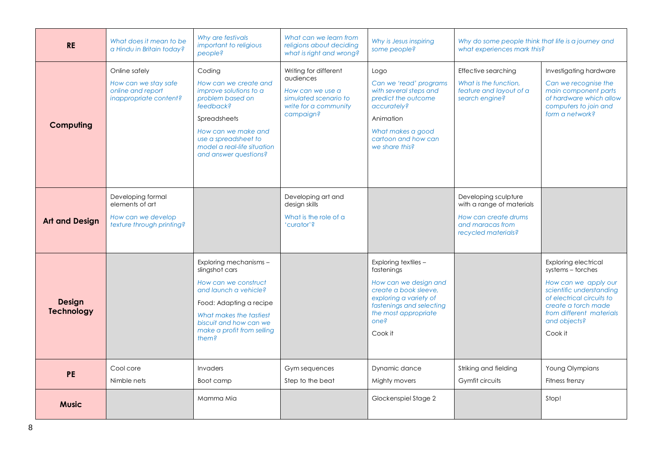| <b>RE</b>                          | What does it mean to be<br>a Hindu in Britain today?                                    | Why are festivals<br>important to religious<br>people?                                                                                                                                                            | What can we learn from<br>religions about deciding<br>what is right and wrong?                                        | Why is Jesus inspiring<br>some people?                                                                                                                                                | Why do some people think that life is a journey and<br>what experiences mark this?                                   |                                                                                                                                                                                                                 |
|------------------------------------|-----------------------------------------------------------------------------------------|-------------------------------------------------------------------------------------------------------------------------------------------------------------------------------------------------------------------|-----------------------------------------------------------------------------------------------------------------------|---------------------------------------------------------------------------------------------------------------------------------------------------------------------------------------|----------------------------------------------------------------------------------------------------------------------|-----------------------------------------------------------------------------------------------------------------------------------------------------------------------------------------------------------------|
| Computing                          | Online safely<br>How can we stay safe<br>online and report<br>inappropriate content?    | Coding<br>How can we create and<br>improve solutions to a<br>problem based on<br>feedback?<br>Spreadsheets<br>How can we make and<br>use a spreadsheet to<br>model a real-life situation<br>and answer questions? | Writing for different<br>audiences<br>How can we use a<br>simulated scenario to<br>write for a community<br>campaign? | Logo<br>Can we 'read' programs<br>with several steps and<br>predict the outcome<br>accurately?<br>Animation<br>What makes a good<br>cartoon and how can<br>we share this?             | Effective searching<br>What is the function.<br>feature and layout of a<br>search engine?                            | Investigating hardware<br>Can we recognise the<br>main component parts<br>of hardware which allow<br>computers to join and<br>form a network?                                                                   |
| <b>Art and Design</b>              | Developing formal<br>elements of art<br>How can we develop<br>texture through printing? |                                                                                                                                                                                                                   | Developing art and<br>design skills<br>What is the role of a<br>'curator'?                                            |                                                                                                                                                                                       | Developing sculpture<br>with a range of materials<br>How can create drums<br>and maracas from<br>recycled materials? |                                                                                                                                                                                                                 |
| <b>Design</b><br><b>Technology</b> |                                                                                         | Exploring mechanisms -<br>slingshot cars<br>How can we construct<br>and launch a vehicle?<br>Food: Adapting a recipe<br>What makes the tastiest<br>biscuit and how can we<br>make a profit from selling<br>them?  |                                                                                                                       | Exploring textiles -<br>fastenings<br>How can we design and<br>create a book sleeve.<br>exploring a variety of<br>fastenings and selecting<br>the most appropriate<br>one?<br>Cook it |                                                                                                                      | <b>Exploring electrical</b><br>systems - torches<br>How can we apply our<br>scientific understanding<br>of electrical circuits to<br>create a torch made<br>from different materials<br>and objects?<br>Cook it |
| <b>PE</b>                          | Cool core<br>Nimble nets                                                                | Invaders<br>Boot camp                                                                                                                                                                                             | Gym sequences<br>Step to the beat                                                                                     | Dynamic dance<br>Mighty movers                                                                                                                                                        | Striking and fielding<br>Gymfit circuits                                                                             | Young Olympians<br>Fitness frenzy                                                                                                                                                                               |
| <b>Music</b>                       |                                                                                         | Mamma Mia                                                                                                                                                                                                         |                                                                                                                       | Glockenspiel Stage 2                                                                                                                                                                  |                                                                                                                      | Stop!                                                                                                                                                                                                           |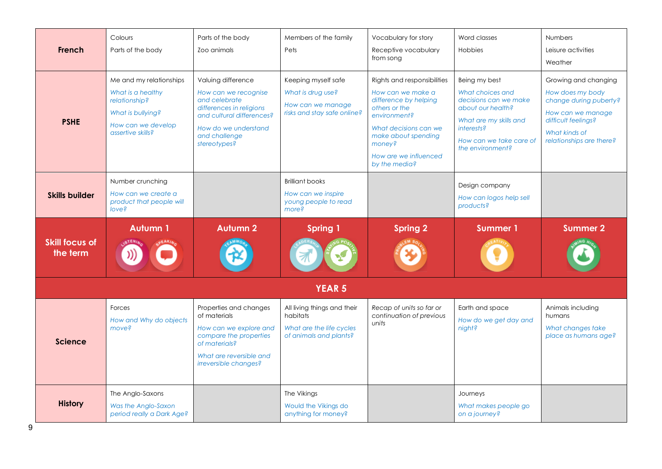| French                            | Colours<br>Parts of the body                                                                                                  | Parts of the body<br>Zoo animals                                                                                                                                              | Members of the family<br>Pets                                                                 | Vocabulary for story<br>Receptive vocabulary<br>from song                                                                                                                                                      | Word classes<br>Hobbies                                                                                                                                                       | <b>Numbers</b><br>Leisure activities<br>Weather                                                                                                             |
|-----------------------------------|-------------------------------------------------------------------------------------------------------------------------------|-------------------------------------------------------------------------------------------------------------------------------------------------------------------------------|-----------------------------------------------------------------------------------------------|----------------------------------------------------------------------------------------------------------------------------------------------------------------------------------------------------------------|-------------------------------------------------------------------------------------------------------------------------------------------------------------------------------|-------------------------------------------------------------------------------------------------------------------------------------------------------------|
| <b>PSHE</b>                       | Me and my relationships<br>What is a healthy<br>relationship?<br>What is bullying?<br>How can we develop<br>assertive skills? | Valuing difference<br>How can we recognise<br>and celebrate<br>differences in religions<br>and cultural differences?<br>How do we understand<br>and challenge<br>stereotypes? | Keeping myself safe<br>What is drug use?<br>How can we manage<br>risks and stay safe online?  | Rights and responsibilities<br>How can we make a<br>difference by helping<br>others or the<br>environment?<br>What decisions can we<br>make about spending<br>money?<br>How are we influenced<br>by the media? | Being my best<br>What choices and<br>decisions can we make<br>about our health?<br>What are my skills and<br><i>interests?</i><br>How can we take care of<br>the environment? | Growing and changing<br>How does my body<br>change during puberty?<br>How can we manage<br>difficult feelings?<br>What kinds of<br>relationships are there? |
| <b>Skills builder</b>             | Number crunching<br>How can we create a<br>product that people will<br>love?                                                  |                                                                                                                                                                               | <b>Brilliant books</b><br>How can we inspire<br>young people to read<br>more?                 |                                                                                                                                                                                                                | Design company<br>How can logos help sell<br>products?                                                                                                                        |                                                                                                                                                             |
| <b>Skill focus of</b><br>the term | <b>Autumn1</b>                                                                                                                | <b>Autumn 2</b>                                                                                                                                                               | <b>Spring 1</b>                                                                               | <b>Spring 2</b>                                                                                                                                                                                                | <b>Summer 1</b>                                                                                                                                                               | <b>Summer 2</b>                                                                                                                                             |
|                                   |                                                                                                                               |                                                                                                                                                                               | <b>YEAR 5</b>                                                                                 |                                                                                                                                                                                                                |                                                                                                                                                                               |                                                                                                                                                             |
| <b>Science</b>                    | Forces<br>How and Why do objects<br>move?                                                                                     | Properties and changes<br>of materials<br>How can we explore and<br>compare the properties<br>of materials?<br>What are reversible and<br>irreversible changes?               | All living things and their<br>habitats<br>What are the life cycles<br>of animals and plants? | Recap of units so far or<br>continuation of previous<br>units                                                                                                                                                  | Earth and space<br>How do we get day and<br>night?                                                                                                                            | Animals including<br>humans<br>What changes take<br>place as humans age?                                                                                    |
| <b>History</b>                    | The Anglo-Saxons<br>Was the Anglo-Saxon<br>period really a Dark Age?                                                          |                                                                                                                                                                               | The Vikings<br>Would the Vikings do<br>anything for money?                                    |                                                                                                                                                                                                                | Journeys<br>What makes people go<br>on a journey?                                                                                                                             |                                                                                                                                                             |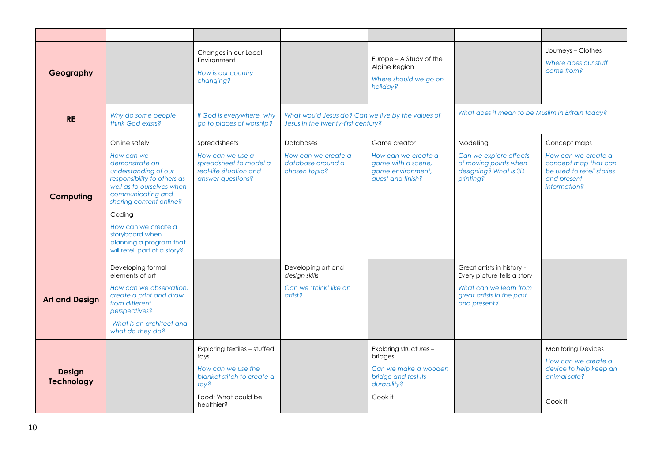| Geography                          |                                                                                                                                                                                                                                                                                                  | Changes in our Local<br>Environment<br>How is our country<br>changing?                                                                |                                                                                         | Europe - A Study of the<br>Alpine Region<br>Where should we go on<br>holiday?                              |                                                                                                                                  | Journeys - Clothes<br>Where does our stuff<br>come from?                                                                |
|------------------------------------|--------------------------------------------------------------------------------------------------------------------------------------------------------------------------------------------------------------------------------------------------------------------------------------------------|---------------------------------------------------------------------------------------------------------------------------------------|-----------------------------------------------------------------------------------------|------------------------------------------------------------------------------------------------------------|----------------------------------------------------------------------------------------------------------------------------------|-------------------------------------------------------------------------------------------------------------------------|
| <b>RE</b>                          | Why do some people<br>think God exists?                                                                                                                                                                                                                                                          | If God is everywhere, why<br>go to places of worship?                                                                                 | What would Jesus do? Can we live by the values of<br>Jesus in the twenty-first century? |                                                                                                            | What does it mean to be Muslim in Britain today?                                                                                 |                                                                                                                         |
| Computing                          | Online safely<br>How can we<br>demonstrate an<br>understanding of our<br>responsibility to others as<br>well as to ourselves when<br>communicating and<br>sharing content online?<br>Coding<br>How can we create a<br>storyboard when<br>planning a program that<br>will retell part of a story? | Spreadsheets<br>How can we use a<br>spreadsheet to model a<br>real-life situation and<br>answer questions?                            | <b>Databases</b><br>How can we create a<br>database around a<br>chosen topic?           | Game creator<br>How can we create a<br>game with a scene,<br>game environment,<br>quest and finish?        | Modelling<br>Can we explore effects<br>of moving points when<br>designing? What is 3D<br><i>printing?</i>                        | Concept maps<br>How can we create a<br>concept map that can<br>be used to retell stories<br>and present<br>information? |
| <b>Art and Design</b>              | Developing formal<br>elements of art<br>How can we observation.<br>create a print and draw<br>from different<br>perspectives?<br>What is an architect and<br>what do they do?                                                                                                                    |                                                                                                                                       | Developing art and<br>design skills<br>Can we 'think' like an<br>artist?                |                                                                                                            | Great artists in history -<br>Every picture tells a story<br>What can we learn from<br>great artists in the past<br>and present? |                                                                                                                         |
| <b>Design</b><br><b>Technology</b> |                                                                                                                                                                                                                                                                                                  | Exploring textiles - stuffed<br>toys<br>How can we use the<br>blanket stitch to create a<br>toy?<br>Food: What could be<br>healthier? |                                                                                         | Exploring structures -<br>bridges<br>Can we make a wooden<br>bridge and test its<br>durability?<br>Cook it |                                                                                                                                  | <b>Monitoring Devices</b><br>How can we create a<br>device to help keep an<br>animal safe?<br>Cook it                   |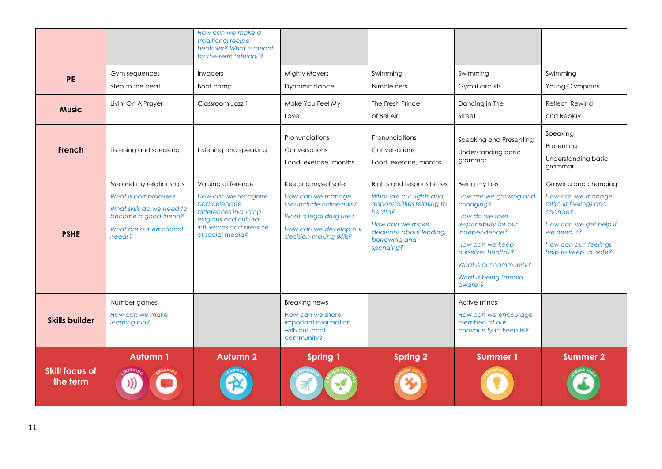|                                   |                                                                                                                                          | How can we make a<br>traditional recipe<br>healthier? What is meant<br>by the term 'ethical'?                                                                 |                                                                                                                                                         |                                                                                                                                                                                |                                                                                                                                                                                                                         |                                                                                                                                                                          |
|-----------------------------------|------------------------------------------------------------------------------------------------------------------------------------------|---------------------------------------------------------------------------------------------------------------------------------------------------------------|---------------------------------------------------------------------------------------------------------------------------------------------------------|--------------------------------------------------------------------------------------------------------------------------------------------------------------------------------|-------------------------------------------------------------------------------------------------------------------------------------------------------------------------------------------------------------------------|--------------------------------------------------------------------------------------------------------------------------------------------------------------------------|
| <b>PE</b>                         | Gym sequences<br>Step to the beat                                                                                                        | Invaders<br>Boot camp                                                                                                                                         | <b>Mighty Movers</b><br>Dynamic dance                                                                                                                   | Swimming<br>Nimble nets                                                                                                                                                        | Swimming<br>Gymfit circuits                                                                                                                                                                                             | Swimming<br>Young Olympians                                                                                                                                              |
| <b>Music</b>                      | Livin' On A Prayer                                                                                                                       | Classroom Jazz 1                                                                                                                                              | Make You Feel My<br>Love                                                                                                                                | The Fresh Prince<br>of Bel Air                                                                                                                                                 | Dancing in The<br>Street                                                                                                                                                                                                | Reflect, Rewind<br>and Replay                                                                                                                                            |
| French                            | Listening and speaking                                                                                                                   | Listening and speaking                                                                                                                                        | Pronunciations<br>Conversations<br>Food, exercise, months                                                                                               | Pronunciations<br>Conversations<br>Food, exercise, months                                                                                                                      | Speaking and Presenting<br>Understanding basic<br>grammar                                                                                                                                                               | Speaking<br>Presenting<br>Understanding basic<br>grammar                                                                                                                 |
| <b>PSHE</b>                       | Me and my relationships<br>What is compromise?<br>What skills do we need to<br>become a good friend?<br>What are our emotional<br>needs? | Valuing difference<br>How can we recognise<br>and celebrate<br>differences including<br>religious and cultural<br>influences and pressure<br>of social media? | Keeping myself safe<br>How can we manage<br>risks include online risks?<br>What is legal drug use?<br>How can we develop our<br>decision-making skills? | Rights and responsibilities<br>What are our rights and<br>responsibilities relating to<br>health?<br>How can we make<br>decisions about lending,<br>borrowing and<br>spending? | Being my best<br>How are we growing and<br>changing?<br>How do we take<br>responsibility for our<br>independence?<br>How can we keep<br>ourselves healthy?<br>What is our community?<br>What is being 'media<br>aware'? | Growing and changing<br>How can we manage<br>difficult feelings and<br>change?<br>How can we get help if<br>we need it?<br>How can our feelings<br>help to keep us safe? |
| <b>Skills builder</b>             | Number games<br>How can we make<br>learning fun?                                                                                         |                                                                                                                                                               | <b>Breaking news</b><br>How can we share<br>important information<br>with our local<br>community?                                                       |                                                                                                                                                                                | Active minds<br>How can we encourage<br>members of our<br>community to keep fit?                                                                                                                                        |                                                                                                                                                                          |
| <b>Skill focus of</b><br>the term | <b>Autumn 1</b>                                                                                                                          | <b>Autumn 2</b>                                                                                                                                               | <b>Spring 1</b>                                                                                                                                         | <b>Spring 2</b>                                                                                                                                                                | <b>Summer 1</b>                                                                                                                                                                                                         | <b>Summer 2</b>                                                                                                                                                          |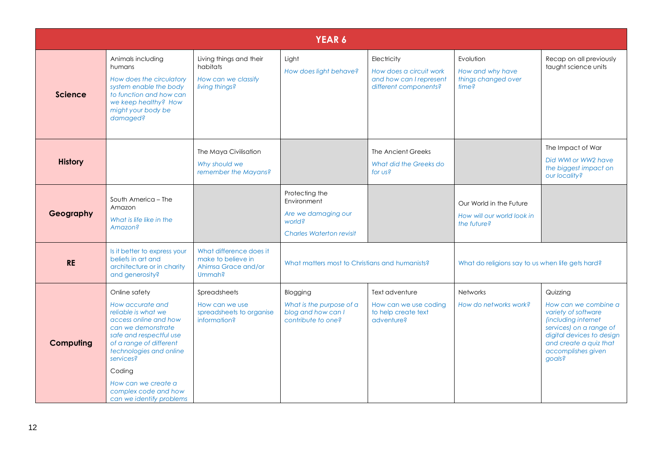|                |                                                                                                                                                                                                                                                                                            |                                                                                | <b>YEAR 6</b>                                                                                     |                                                                                            |                                                                      |                                                                                                                                                                                                  |
|----------------|--------------------------------------------------------------------------------------------------------------------------------------------------------------------------------------------------------------------------------------------------------------------------------------------|--------------------------------------------------------------------------------|---------------------------------------------------------------------------------------------------|--------------------------------------------------------------------------------------------|----------------------------------------------------------------------|--------------------------------------------------------------------------------------------------------------------------------------------------------------------------------------------------|
| <b>Science</b> | Animals including<br>humans<br>How does the circulatory<br>system enable the body<br>to function and how can<br>we keep healthy? How<br>might your body be<br>damaged?                                                                                                                     | Living things and their<br>habitats<br>How can we classify<br>living things?   | Light<br>How does light behave?                                                                   | Electricity<br>How does a circuit work<br>and how can I represent<br>different components? | Evolution<br>How and why have<br>things changed over<br>time?        | Recap on all previously<br>taught science units                                                                                                                                                  |
| <b>History</b> |                                                                                                                                                                                                                                                                                            | The Maya Civilisation<br>Why should we<br>remember the Mayans?                 |                                                                                                   | The Ancient Greeks<br>What did the Greeks do<br>for us?                                    |                                                                      | The Impact of War<br>Did WWI or WW2 have<br>the biggest impact on<br>our locality?                                                                                                               |
| Geography      | South America - The<br>Amazon<br>What is life like in the<br>Amazon?                                                                                                                                                                                                                       |                                                                                | Protecting the<br>Environment<br>Are we damaging our<br>world?<br><b>Charles Waterton revisit</b> |                                                                                            | Our World in the Future<br>How will our world look in<br>the future? |                                                                                                                                                                                                  |
| <b>RE</b>      | Is it better to express your<br>beliefs in art and<br>architecture or in charity<br>and generosity?                                                                                                                                                                                        | What difference does it<br>make to believe in<br>Ahimsa Grace and/or<br>Ummah? | What matters most to Christians and humanists?                                                    |                                                                                            | What do religions say to us when life gets hard?                     |                                                                                                                                                                                                  |
| Computing      | Online safety<br>How accurate and<br>reliable is what we<br>access online and how<br>can we demonstrate<br>safe and respectful use<br>of a range of different<br>technologies and online<br>services?<br>Coding<br>How can we create a<br>complex code and how<br>can we identify problems | Spreadsheets<br>How can we use<br>spreadsheets to organise<br>information?     | Blogging<br>What is the purpose of a<br>blog and how can I<br>contribute to one?                  | Text adventure<br>How can we use coding<br>to help create text<br>adventure?               | <b>Networks</b><br>How do networks work?                             | Quizzing<br>How can we combine a<br>variety of software<br>(including internet<br>services) on a range of<br>digital devices to design<br>and create a quiz that<br>accomplishes given<br>goals? |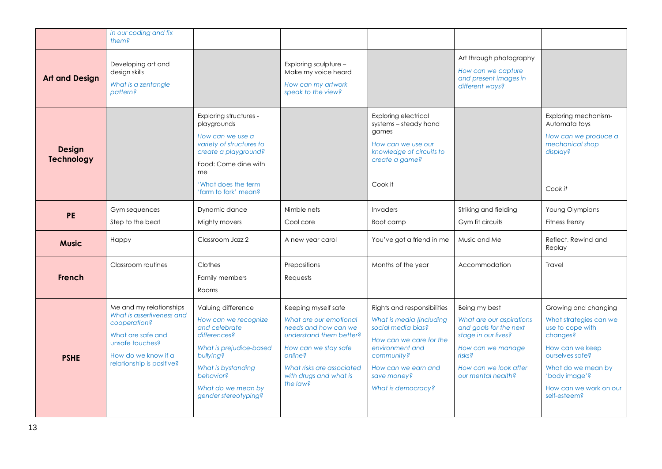|                                    | in our coding and fix<br>them?                                                                                                                                   |                                                                                                                                                                                                      |                                                                                                                                                                                                        |                                                                                                                                                                                                       |                                                                                                                                                                                 |                                                                                                                                                                                                       |
|------------------------------------|------------------------------------------------------------------------------------------------------------------------------------------------------------------|------------------------------------------------------------------------------------------------------------------------------------------------------------------------------------------------------|--------------------------------------------------------------------------------------------------------------------------------------------------------------------------------------------------------|-------------------------------------------------------------------------------------------------------------------------------------------------------------------------------------------------------|---------------------------------------------------------------------------------------------------------------------------------------------------------------------------------|-------------------------------------------------------------------------------------------------------------------------------------------------------------------------------------------------------|
| <b>Art and Design</b>              | Developing art and<br>design skills<br>What is a zentangle<br>pattern?                                                                                           |                                                                                                                                                                                                      | Exploring sculpture -<br>Make my voice heard<br>How can my artwork<br>speak to the view?                                                                                                               |                                                                                                                                                                                                       | Art through photography<br>How can we capture<br>and present images in<br>different ways?                                                                                       |                                                                                                                                                                                                       |
| <b>Design</b><br><b>Technology</b> |                                                                                                                                                                  | Exploring structures -<br>playgrounds<br>How can we use a<br>variety of structures to<br>create a playground?<br>Food: Come dine with<br>me<br>'What does the term<br>'farm to fork' mean?           |                                                                                                                                                                                                        | Exploring electrical<br>systems - steady hand<br>games<br>How can we use our<br>knowledge of circuits to<br>create a game?<br>Cook it                                                                 |                                                                                                                                                                                 | Exploring mechanism-<br>Automata toys<br>How can we produce a<br>mechanical shop<br>display?<br>Cook it                                                                                               |
| <b>PE</b>                          | Gym sequences<br>Step to the beat                                                                                                                                | Dynamic dance<br>Mighty movers                                                                                                                                                                       | Nimble nets<br>Cool core                                                                                                                                                                               | Invaders<br>Boot camp                                                                                                                                                                                 | Striking and fielding<br>Gym fit circuits                                                                                                                                       | Young Olympians<br>Fitness frenzy                                                                                                                                                                     |
| <b>Music</b>                       | Happy                                                                                                                                                            | Classroom Jazz 2                                                                                                                                                                                     | A new year carol                                                                                                                                                                                       | You've got a friend in me                                                                                                                                                                             | Music and Me                                                                                                                                                                    | Reflect, Rewind and<br>Replay                                                                                                                                                                         |
| <b>French</b>                      | Classroom routines                                                                                                                                               | Clothes<br>Family members<br>Rooms                                                                                                                                                                   | Prepositions<br>Requests                                                                                                                                                                               | Months of the year                                                                                                                                                                                    | Accommodation                                                                                                                                                                   | Travel                                                                                                                                                                                                |
| <b>PSHE</b>                        | Me and my relationships<br>What is assertiveness and<br>cooperation?<br>What are safe and<br>unsafe touches?<br>How do we know if a<br>relationship is positive? | Valuing difference<br>How can we recognize<br>and celebrate<br>differences?<br>What is prejudice-based<br>bullying?<br>What is bystanding<br>behavior?<br>What do we mean by<br>gender stereotyping? | Keeping myself safe<br>What are our emotional<br>needs and how can we<br>understand them better?<br>How can we stay safe<br>online?<br>What risks are associated<br>with drugs and what is<br>the law? | Rights and responsibilities<br>What is media (including<br>social media bias?<br>How can we care for the<br>environment and<br>community?<br>How can we earn and<br>save money?<br>What is democracy? | Being my best<br>What are our aspirations<br>and goals for the next<br>stage in our lives?<br>How can we manage<br><i>risks?</i><br>How can we look after<br>our mental health? | Growing and changing<br>What strategies can we<br>use to cope with<br>changes?<br>How can we keep<br>ourselves safe?<br>What do we mean by<br>'body image'?<br>How can we work on our<br>self-esteem? |